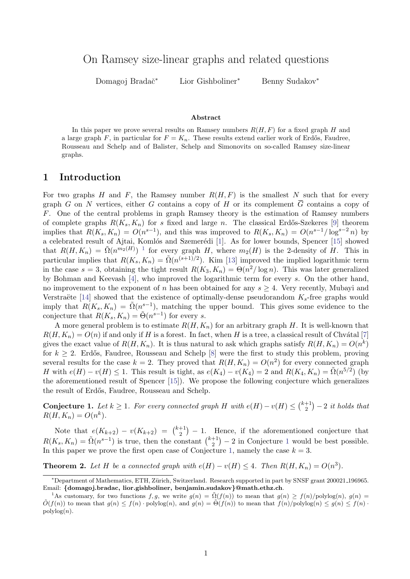On Ramsey size-linear graphs and related questions

Domagoj Bradač<sup>∗</sup> Lior Gishboliner<sup>∗</sup> Benny Sudakov<sup>∗</sup>

#### Abstract

In this paper we prove several results on Ramsey numbers  $R(H, F)$  for a fixed graph H and a large graph F, in particular for  $F = K_n$ . These results extend earlier work of Erdős, Faudree, Rousseau and Schelp and of Balister, Schelp and Simonovits on so-called Ramsey size-linear graphs.

### 1 Introduction

For two graphs H and F, the Ramsey number  $R(H, F)$  is the smallest N such that for every graph G on N vertices, either G contains a copy of H or its complement  $\overline{G}$  contains a copy of F. One of the central problems in graph Ramsey theory is the estimation of Ramsey numbers of complete graphs  $R(K_s, K_n)$  for s fixed and large n. The classical Erdős-Szekeres [\[9\]](#page-14-0) theorem implies that  $R(K_s, K_n) = O(n^{s-1})$ , and this was improved to  $R(K_s, K_n) = O(n^{s-1}/\log^{s-2} n)$  by a celebrated result of Ajtai, Komlós and Szemerédi [\[1\]](#page-13-0). As for lower bounds, Spencer [\[15\]](#page-14-1) showed that  $R(H, K_n) = \tilde{\Omega}(n^{m_2(H)})^{-1}$  $R(H, K_n) = \tilde{\Omega}(n^{m_2(H)})^{-1}$  $R(H, K_n) = \tilde{\Omega}(n^{m_2(H)})^{-1}$  for every graph H, where  $m_2(H)$  is the 2-density of H. This in particular implies that  $R(K_s, K_n) = \tilde{\Omega}(n^{(s+1)/2})$ . Kim [\[13\]](#page-14-2) improved the implied logarithmic term in the case  $s = 3$ , obtaining the tight result  $R(K_3, K_n) = \Theta(n^2/\log n)$ . This was later generalized by Bohman and Keevash [\[4\]](#page-14-3), who improved the logarithmic term for every s. On the other hand, no improvement to the exponent of n has been obtained for any  $s \geq 4$ . Very recently, Mubayi and Verstraëte [\[14\]](#page-14-4) showed that the existence of optimally-dense pseudorandom  $K_s$ -free graphs would imply that  $R(K_s, K_n) = \tilde{\Omega}(n^{s-1})$ , matching the upper bound. This gives some evidence to the conjecture that  $R(K_s, K_n) = \tilde{\Theta}(n^{s-1})$  for every s.

A more general problem is to estimate  $R(H, K_n)$  for an arbitrary graph H. It is well-known that  $R(H, K_n) = O(n)$  if and only if H is a forest. In fact, when H is a tree, a classical result of Chvátal [\[7\]](#page-14-5) gives the exact value of  $R(H, K_n)$ . It is thus natural to ask which graphs satisfy  $R(H, K_n) = O(n^k)$ for  $k \geq 2$ . Erdős, Faudree, Rousseau and Schelp [\[8\]](#page-14-6) were the first to study this problem, proving several results for the case  $k = 2$ . They proved that  $R(H, K_n) = O(n^2)$  for every connected graph H with  $e(H) - v(H) \leq 1$ . This result is tight, as  $e(K_4) - v(K_4) = 2$  and  $R(K_4, K_n) = \tilde{\Omega}(n^{5/2})$  (by the aforementioned result of Spencer [\[15\]](#page-14-1)). We propose the following conjecture which generalizes the result of Erdős, Faudree, Rousseau and Schelp.

<span id="page-0-1"></span>Conjecture 1. Let  $k \geq 1$ . For every connected graph H with  $e(H) - v(H) \leq {k+1 \choose 2}$  $\binom{+1}{2}$  - 2 it holds that  $R(H, K_n) = O(n^k).$ 

Note that  $e(K_{k+2}) - v(K_{k+2}) = {k+1 \choose 2}$  $\binom{+1}{2}$  – 1. Hence, if the aforementioned conjecture that  $R(K_s, K_n) = \tilde{\Omega}(n^{s-1})$  is true, then the constant  $\binom{k+1}{2}$  $\binom{+1}{2}$  $\binom{+1}{2}$  $\binom{+1}{2}$  – 2 in Conjecture 1 would be best possible. In this paper we prove the first open case of Conjecture [1,](#page-0-1) namely the case  $k = 3$ .

<span id="page-0-2"></span>**Theorem 2.** Let H be a connected graph with  $e(H) - v(H) \leq 4$ . Then  $R(H, K_n) = O(n^3)$ .

<sup>∗</sup>Department of Mathematics, ETH, Z¨urich, Switzerland. Research supported in part by SNSF grant 200021 196965. Email: {domagoj.bradac, lior.gishboliner, benjamin.sudakov}@math.ethz.ch.

<span id="page-0-0"></span><sup>&</sup>lt;sup>1</sup>As customary, for two functions f, g, we write  $g(n) = \tilde{\Omega}(f(n))$  to mean that  $g(n) \geq f(n)/\text{polylog}(n)$ ,  $g(n) =$  $\tilde{O}(f(n))$  to mean that  $q(n) \leq f(n) \cdot \text{polylog}(n)$ , and  $q(n) = \tilde{\Theta}(f(n))$  to mean that  $f(n)/\text{polylog}(n) \leq q(n) \leq f(n) \cdot \text{polylog}(n)$  $polylog(n)$ .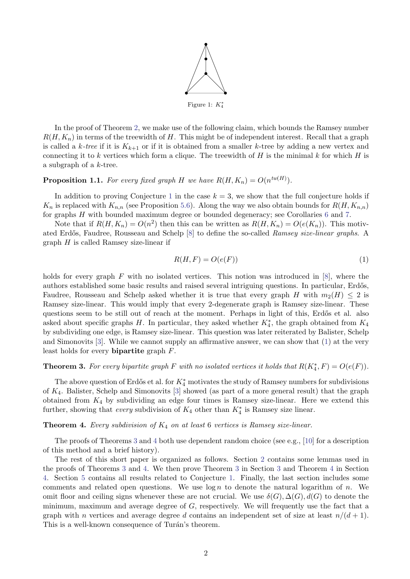

In the proof of Theorem [2,](#page-0-2) we make use of the following claim, which bounds the Ramsey number  $R(H, K_n)$  in terms of the treewidth of H. This might be of independent interest. Recall that a graph is called a k-tree if it is  $K_{k+1}$  or if it is obtained from a smaller k-tree by adding a new vertex and connecting it to k vertices which form a clique. The treewidth of H is the minimal k for which H is a subgraph of a k-tree.

# <span id="page-1-3"></span>**Proposition 1.1.** For every fixed graph H we have  $R(H, K_n) = O(n^{tw(H)})$ .

In addition to proving Conjecture [1](#page-0-1) in the case  $k = 3$ , we show that the full conjecture holds if  $K_n$  is replaced with  $K_{n,n}$  (see Proposition [5.6\)](#page-13-1). Along the way we also obtain bounds for  $R(H, K_{n,n})$ for graphs H with bounded maximum degree or bounded degeneracy; see Corollaries [6](#page-13-2) and [7.](#page-13-3)

Note that if  $R(H, K_n) = O(n^2)$  then this can be written as  $R(H, K_n) = O(e(K_n))$ . This motiv-ated Erdős, Faudree, Rousseau and Schelp [\[8\]](#page-14-6) to define the so-called *Ramsey size-linear graphs*. A  $graph H$  is called Ramsey size-linear if

<span id="page-1-0"></span>
$$
R(H, F) = O(e(F))\tag{1}
$$

holds for every graph  $F$  with no isolated vertices. This notion was introduced in  $[8]$ , where the authors established some basic results and raised several intriguing questions. In particular, Erdős, Faudree, Rousseau and Schelp asked whether it is true that every graph H with  $m_2(H) \leq 2$  is Ramsey size-linear. This would imply that every 2-degenerate graph is Ramsey size-linear. These questions seem to be still out of reach at the moment. Perhaps in light of this, Erdős et al. also asked about specific graphs H. In particular, they asked whether  $K_4^*$ , the graph obtained from  $K_4$ by subdividing one edge, is Ramsey size-linear. This question was later reiterated by Balister, Schelp and Simonovits [\[3\]](#page-14-7). While we cannot supply an affirmative answer, we can show that [\(1\)](#page-1-0) at the very least holds for every bipartite graph F.

# <span id="page-1-1"></span>**Theorem 3.** For every bipartite graph F with no isolated vertices it holds that  $R(K_4^*, F) = O(e(F))$ .

The above question of Erdős et al. for  $K_4^*$  motivates the study of Ramsey numbers for subdivisions of K4. Balister, Schelp and Simonovits [\[3\]](#page-14-7) showed (as part of a more general result) that the graph obtained from  $K_4$  by subdividing an edge four times is Ramsey size-linear. Here we extend this further, showing that *every* subdivision of  $K_4$  other than  $K_4^*$  is Ramsey size linear.

#### <span id="page-1-2"></span>**Theorem 4.** Every subdivision of  $K_4$  on at least 6 vertices is Ramsey size-linear.

The proofs of Theorems [3](#page-1-1) and [4](#page-1-2) both use dependent random choice (see e.g., [\[10\]](#page-14-8) for a description of this method and a brief history).

The rest of this short paper is organized as follows. Section [2](#page-2-0) contains some lemmas used in the proofs of Theorems [3](#page-1-1) and [4.](#page-1-2) We then prove Theorem [3](#page-1-1) in Section [3](#page-3-0) and Theorem [4](#page-1-2) in Section [4.](#page-6-0) Section [5](#page-10-0) contains all results related to Conjecture [1.](#page-0-1) Finally, the last section includes some comments and related open questions. We use  $\log n$  to denote the natural logarithm of n. We omit floor and ceiling signs whenever these are not crucial. We use  $\delta(G)$ ,  $\Delta(G)$ ,  $d(G)$  to denote the minimum, maximum and average degree of  $G$ , respectively. We will frequently use the fact that a graph with n vertices and average degree d contains an independent set of size at least  $n/(d+1)$ . This is a well-known consequence of Turán's theorem.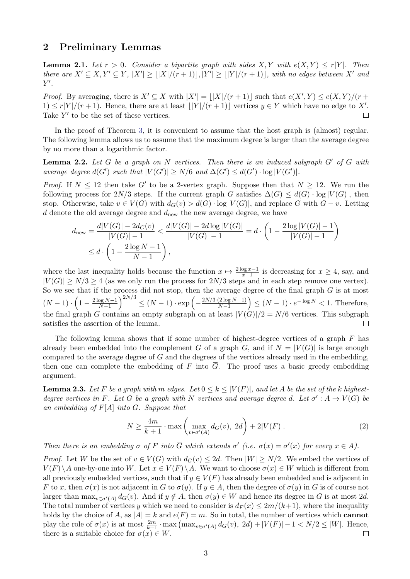### <span id="page-2-0"></span>2 Preliminary Lemmas

<span id="page-2-4"></span>**Lemma 2.1.** Let  $r > 0$ . Consider a bipartite graph with sides  $X, Y$  with  $e(X, Y) \le r|Y|$ . Then there are  $X' \subseteq X, Y' \subseteq Y, |X'| \geq |X|/(r+1)|, |Y'| \geq |Y|/(r+1)|$ , with no edges between X' and  $Y'.$ 

*Proof.* By averaging, there is  $X' \subseteq X$  with  $|X'| = |X|/(r + 1)|$  such that  $e(X', Y) \le e(X, Y)/(r + 1)$  $1) \leq r|Y|/(r+1)$ . Hence, there are at least  $||Y|/(r+1)||$  vertices  $y \in Y$  which have no edge to X'. Take  $Y'$  to be the set of these vertices.  $\Box$ 

In the proof of Theorem [3,](#page-1-1) it is convenient to assume that the host graph is (almost) regular. The following lemma allows us to assume that the maximum degree is larger than the average degree by no more than a logarithmic factor.

<span id="page-2-3"></span>**Lemma 2.2.** Let G be a graph on N vertices. Then there is an induced subgraph  $G'$  of G with average degree  $d(G')$  such that  $|V(G')| \ge N/6$  and  $\Delta(G') \le d(G') \cdot \log |V(G')|$ .

*Proof.* If  $N \le 12$  then take G' to be a 2-vertex graph. Suppose then that  $N \ge 12$ . We run the following process for  $2N/3$  steps. If the current graph G satisfies  $\Delta(G) \leq d(G) \cdot \log |V(G)|$ , then stop. Otherwise, take  $v \in V(G)$  with  $d_G(v) > d(G) \cdot \log |V(G)|$ , and replace G with  $G - v$ . Letting d denote the old average degree and  $d_{\text{new}}$  the new average degree, we have

$$
d_{\text{new}} = \frac{d|V(G)| - 2d_G(v)}{|V(G)| - 1} < \frac{d|V(G)| - 2d\log|V(G)|}{|V(G)| - 1} = d \cdot \left(1 - \frac{2\log|V(G)| - 1}{|V(G)| - 1}\right) \\
\leq d \cdot \left(1 - \frac{2\log N - 1}{N - 1}\right),
$$

where the last inequality holds because the function  $x \mapsto \frac{2\log x-1}{x-1}$  is decreasing for  $x \ge 4$ , say, and  $|V(G)| \ge N/3 \ge 4$  (as we only run the process for  $2N/3$  steps and in each step remove one vertex). So we see that if the process did not stop, then the average degree of the final graph  $G$  is at most  $\frac{\log N - 1}{N-1}$  $\Big)^{2N/3} \le (N-1) \cdot \exp \left(-\frac{2N/3 \cdot (2 \log N - 1)}{N-1}\right)$  $(N-1) \cdot \left(1 - \frac{2 \log N - 1}{N-1}\right)$  $\frac{(2\log N-1)}{N-1}$   $\leq (N-1) \cdot e^{-\log N} < 1$ . Therefore, the final graph G contains an empty subgraph on at least  $|V(G)|/2 = N/6$  vertices. This subgraph satisfies the assertion of the lemma.  $\Box$ 

The following lemma shows that if some number of highest-degree vertices of a graph  $F$  has already been embedded into the complement  $\overline{G}$  of a graph G, and if  $N = |V(G)|$  is large enough compared to the average degree of  $G$  and the degrees of the vertices already used in the embedding, then one can complete the embedding of F into  $\overline{G}$ . The proof uses a basic greedy embedding argument.

<span id="page-2-1"></span>**Lemma 2.3.** Let F be a graph with m edges. Let  $0 \le k \le |V(F)|$ , and let A be the set of the k highestdegree vertices in F. Let G be a graph with N vertices and average degree d. Let  $\sigma' : A \to V(G)$  be an embedding of  $F[A]$  into  $\overline{G}$ . Suppose that

<span id="page-2-2"></span>
$$
N \ge \frac{4m}{k+1} \cdot \max\left(\max_{v \in \sigma'(A)} d_G(v), 2d\right) + 2|V(F)|. \tag{2}
$$

Then there is an embedding  $\sigma$  of F into  $\overline{G}$  which extends  $\sigma'$  (i.e.  $\sigma(x) = \sigma'(x)$  for every  $x \in A$ ).

*Proof.* Let W be the set of  $v \in V(G)$  with  $d_G(v) \leq 2d$ . Then  $|W| \geq N/2$ . We embed the vertices of  $V(F) \setminus A$  one-by-one into W. Let  $x \in V(F) \setminus A$ . We want to choose  $\sigma(x) \in W$  which is different from all previously embedded vertices, such that if  $y \in V(F)$  has already been embedded and is adjacent in F to x, then  $\sigma(x)$  is not adjacent in G to  $\sigma(y)$ . If  $y \in A$ , then the degree of  $\sigma(y)$  in G is of course not larger than  $\max_{v \in \sigma'(A)} d_G(v)$ . And if  $y \notin A$ , then  $\sigma(y) \in W$  and hence its degree in G is at most 2d. The total number of vertices y which we need to consider is  $d_F(x) \leq 2m/(k+1)$ , where the inequality holds by the choice of A, as  $|A| = k$  and  $e(F) = m$ . So in total, the number of vertices which **cannot** play the role of  $\sigma(x)$  is at most  $\frac{2m}{k+1} \cdot \max\left(\max_{v \in \sigma'(A)} d_G(v), 2d\right) + |V(F)| - 1 < N/2 \le |W|$ . Hence, there is a suitable choice for  $\sigma(x) \in W$ .  $\Box$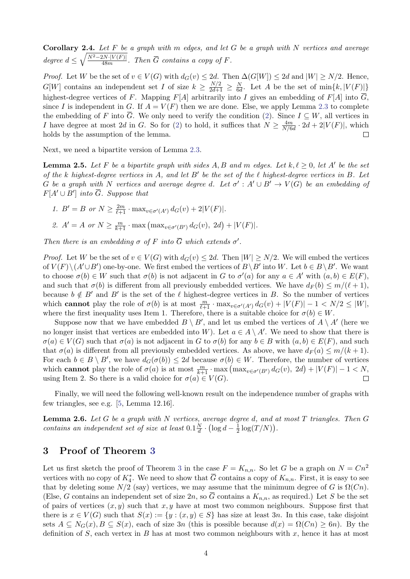<span id="page-3-3"></span>Corollary 2.4. Let  $F$  be a graph with  $m$  edges, and let  $G$  be a graph with  $N$  vertices and average degree  $d \leq \sqrt{\frac{N^2-2N\cdot |V(F)|}{48m}}$  $\frac{2N \cdot |V(F)|}{48m}$ . Then G contains a copy of F.

*Proof.* Let W be the set of  $v \in V(G)$  with  $d_G(v) \leq 2d$ . Then  $\Delta(G[W]) \leq 2d$  and  $|W| \geq N/2$ . Hence,  $G[W]$  contains an independent set I of size  $k \geq \frac{N/2}{2d+1} \geq \frac{N}{6d}$  $\frac{N}{6d}$ . Let A be the set of  $\min\{k, |V(F)|\}$ highest-degree vertices of F. Mapping  $F[A]$  arbitrarily into I gives an embedding of  $F[A]$  into  $\overline{G}$ , since I is independent in G. If  $A = V(F)$  then we are done. Else, we apply Lemma [2.3](#page-2-1) to complete the embedding of F into  $\overline{G}$ . We only need to verify the condition [\(2\)](#page-2-2). Since  $I \subseteq W$ , all vertices in I have degree at most 2d in G. So for [\(2\)](#page-2-2) to hold, it suffices that  $N \ge \frac{4m}{N/6}$  $\frac{4m}{N/6d} \cdot 2d + 2|V(F)|$ , which holds by the assumption of the lemma.  $\Box$ 

Next, we need a bipartite version of Lemma [2.3.](#page-2-1)

<span id="page-3-1"></span>**Lemma 2.5.** Let F be a bipartite graph with sides A, B and m edges. Let  $k, \ell \geq 0$ , let A' be the set of the k highest-degree vertices in A, and let  $B'$  be the set of the  $\ell$  highest-degree vertices in B. Let G be a graph with N vertices and average degree d. Let  $\sigma' : A' \cup B' \to V(G)$  be an embedding of  $F[A' \cup B']$  into  $\overline{G}$ . Suppose that

- 1.  $B' = B$  or  $N \ge \frac{2m}{\ell+1} \cdot \max_{v \in \sigma'(A')} d_G(v) + 2|V(F)|$ . 2.  $A' = A$  or  $N \ge \frac{m}{k+1} \cdot \max\left(\max_{v \in \sigma'(B')} d_G(v), 2d\right) + |V(F)|$ .
- 

Then there is an embedding  $\sigma$  of F into  $\overline{G}$  which extends  $\sigma'$ .

*Proof.* Let W be the set of  $v \in V(G)$  with  $d_G(v) \leq 2d$ . Then  $|W| \geq N/2$ . We will embed the vertices of  $V(F) \setminus (A' \cup B')$  one-by-one. We first embed the vertices of  $B \setminus B'$  into W. Let  $b \in B \setminus B'$ . We want to choose  $\sigma(b) \in W$  such that  $\sigma(b)$  is not adjacent in G to  $\sigma'(a)$  for any  $a \in A'$  with  $(a, b) \in E(F)$ , and such that  $\sigma(b)$  is different from all previously embedded vertices. We have  $d_F(b) \leq m/(\ell + 1)$ , because  $b \notin B'$  and  $B'$  is the set of the  $\ell$  highest-degree vertices in B. So the number of vertices which **cannot** play the role of  $\sigma(b)$  is at most  $\frac{m}{\ell+1} \cdot \max_{v \in \sigma'(A')} d_G(v) + |V(F)| - 1 < N/2 \leq |W|$ , where the first inequality uses Item 1. Therefore, there is a suitable choice for  $\sigma(b) \in W$ .

Suppose now that we have embedded  $B \setminus B'$ , and let us embed the vertices of  $A \setminus A'$  (here we no longer insist that vertices are embedded into W). Let  $a \in A \setminus A'$ . We need to show that there is  $\sigma(a) \in V(G)$  such that  $\sigma(a)$  is not adjacent in G to  $\sigma(b)$  for any  $b \in B$  with  $(a, b) \in E(F)$ , and such that  $\sigma(a)$  is different from all previously embedded vertices. As above, we have  $d_F(a) \leq m/(k+1)$ . For each  $b \in B \setminus B'$ , we have  $d_G(\sigma(b)) \leq 2d$  because  $\sigma(b) \in W$ . Therefore, the number of vertices which **cannot** play the role of  $\sigma(a)$  is at most  $\frac{m}{k+1} \cdot \max\left(\max_{v \in \sigma'(B')} d_G(v), 2d\right) + |V(F)| - 1 < N$ , using Item 2. So there is a valid choice for  $\sigma(a) \in V(G)$ .  $\Box$ 

Finally, we will need the following well-known result on the independence number of graphs with few triangles, see e.g. [\[5,](#page-14-9) Lemma 12.16].

<span id="page-3-2"></span>**Lemma 2.6.** Let G be a graph with N vertices, average degree d, and at most T triangles. Then G contains an independent set of size at least  $0.1\frac{N}{d}$  $\frac{N}{d} \cdot (\log d - \frac{1}{2})$  $\frac{1}{2}\log(T/N)$ .

# <span id="page-3-0"></span>3 Proof of Theorem [3](#page-1-1)

Let us first sketch the proof of Theorem [3](#page-1-1) in the case  $F = K_{n,n}$ . So let G be a graph on  $N = Cn^2$ vertices with no copy of  $K_4^*$ . We need to show that  $\overline{G}$  contains a copy of  $K_{n,n}$ . First, it is easy to see that by deleting some  $N/2$  (say) vertices, we may assume that the minimum degree of G is  $\Omega(Cn)$ . (Else, G contains an independent set of size  $2n$ , so  $\overline{G}$  contains a  $K_{n,n}$ , as required.) Let S be the set of pairs of vertices  $(x, y)$  such that  $x, y$  have at most two common neighbours. Suppose first that there is  $x \in V(G)$  such that  $S(x) := \{y : (x, y) \in S\}$  has size at least 3n. In this case, take disjoint sets  $A \subseteq N_G(x), B \subseteq S(x)$ , each of size 3n (this is possible because  $d(x) = \Omega(Cn) \ge 6n$ ). By the definition of S, each vertex in B has at most two common neighbours with  $x$ , hence it has at most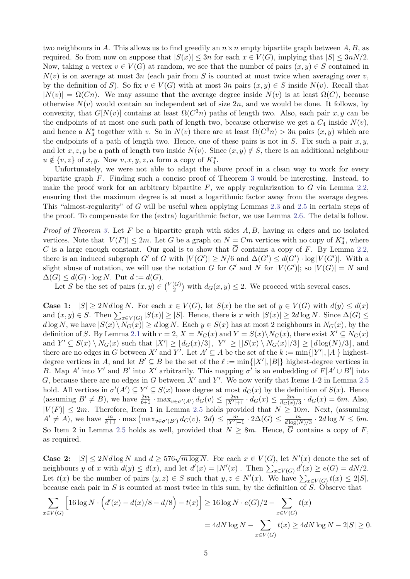two neighbours in A. This allows us to find greedily an  $n \times n$  empty bipartite graph between A, B, as required. So from now on suppose that  $|S(x)| \leq 3n$  for each  $x \in V(G)$ , implying that  $|S| \leq 3nN/2$ . Now, taking a vertex  $v \in V(G)$  at random, we see that the number of pairs  $(x, y) \in S$  contained in  $N(v)$  is on average at most 3n (each pair from S is counted at most twice when averaging over v, by the definition of S). So fix  $v \in V(G)$  with at most 3n pairs  $(x, y) \in S$  inside  $N(v)$ . Recall that  $|N(v)| = \Omega(Cn)$ . We may assume that the average degree inside  $N(v)$  is at least  $\Omega(C)$ , because otherwise  $N(v)$  would contain an independent set of size 2n, and we would be done. It follows, by convexity, that  $G[N(v)]$  contains at least  $\Omega(C^3n)$  paths of length two. Also, each pair x, y can be the endpoints of at most one such path of length two, because otherwise we get a  $C_4$  inside  $N(v)$ , and hence a  $K_4^*$  together with v. So in  $N(v)$  there are at least  $\Omega(C^3 n) > 3n$  pairs  $(x, y)$  which are the endpoints of a path of length two. Hence, one of these pairs is not in  $S$ . Fix such a pair  $x, y$ , and let x, z, y be a path of length two inside  $N(v)$ . Since  $(x, y) \notin S$ , there is an additional neighbour  $u \notin \{v, z\}$  of  $x, y$ . Now  $v, x, y, z, u$  form a copy of  $K_4^*$ .

Unfortunately, we were not able to adapt the above proof in a clean way to work for every bipartite graph F. Finding such a concise proof of Theorem [3](#page-1-1) would be interesting. Instead, to make the proof work for an arbitrary bipartite  $F$ , we apply regularization to  $G$  via Lemma [2.2,](#page-2-3) ensuring that the maximum degree is at most a logarithmic factor away from the average degree. This "almost-regularity" of G will be useful when applying Lemmas [2.3](#page-2-1) and [2.5](#page-3-1) in certain steps of the proof. To compensate for the (extra) logarithmic factor, we use Lemma [2.6.](#page-3-2) The details follow.

*Proof of Theorem [3.](#page-1-1)* Let F be a bipartite graph with sides  $A, B$ , having m edges and no isolated vertices. Note that  $|V(F)| \leq 2m$ . Let G be a graph on  $N = Cm$  vertices with no copy of  $K_4^*$ , where C is a large enough constant. Our goal is to show that  $\overline{G}$  contains a copy of F. By Lemma [2.2,](#page-2-3) there is an induced subgraph G' of G with  $|V(G')| \ge N/6$  and  $\Delta(G') \le d(G') \cdot \log |V(G')|$ . With a slight abuse of notation, we will use the notation G for G' and N for  $|V(G')|$ ; so  $|V(G)| = N$  and  $\Delta(G) \leq d(G) \cdot \log N$ . Put  $d := d(G)$ .

Let S be the set of pairs  $(x, y) \in {V(G) \choose 2}$  $\binom{G}{2}$  with  $d_G(x, y) \leq 2$ . We proceed with several cases.

**Case 1:**  $|S| \geq 2Nd \log N$ . For each  $x \in V(G)$ , let  $S(x)$  be the set of  $y \in V(G)$  with  $d(y) \leq d(x)$ and  $(x, y) \in S$ . Then  $\sum_{x \in V(G)} |S(x)| \geq |S|$ . Hence, there is x with  $|S(x)| \geq 2d \log N$ . Since  $\Delta(G) \leq$  $d \log N$ , we have  $|S(x) \setminus N_G(x)| \geq d \log N$ . Each  $y \in S(x)$  has at most 2 neighbours in  $N_G(x)$ , by the definition of S. By Lemma [2.1](#page-2-4) with  $r = 2$ ,  $X = N_G(x)$  and  $Y = S(x) \setminus N_G(x)$ , there exist  $X' \subseteq N_G(x)$ and  $Y' \subseteq S(x) \setminus N_G(x)$  such that  $|X'| \geq \lfloor d_G(x)/3 \rfloor$ ,  $|Y'| \geq \lfloor |S(x) \setminus N_G(x)|/3 \rfloor \geq \lfloor d \log(N)/3 \rfloor$ , and there are no edges in G between X' and Y'. Let  $A' \subseteq A$  be the set of the  $k := \min\{|Y'|, |A|\}$  highestdegree vertices in A, and let  $B' \subseteq B$  be the set of the  $\ell := \min\{|X'|, |B|\}$  highest-degree vertices in B. Map A' into Y' and B' into X' arbitrarily. This mapping  $\sigma'$  is an embedding of  $F[A' \cup B']$  into  $\overline{G}$ , because there are no edges in G between X' and Y'. We now verify that Items 1-2 in Lemma [2.5](#page-3-1) hold. All vertices in  $\sigma'(A') \subseteq Y' \subseteq S(x)$  have degree at most  $d_G(x)$  by the definition of  $S(x)$ . Hence (assuming  $B' \neq B$ ), we have  $\frac{2m}{\ell+1} \cdot \max_{v \in \sigma'(A')} d_G(v) \leq \frac{2m}{|X'|+1} \cdot d_G(x) \leq \frac{2m}{d_G(x)}$  $\frac{2m}{d_G(x)/3} \cdot d_G(x) = 6m$ . Also,  $|V(F)| \leq 2m$ . Therefore, Item 1 in Lemma [2.5](#page-3-1) holds provided that  $N \geq 10m$ . Next, (assuming  $A' \neq A$ , we have  $\frac{m}{k+1} \cdot \max\left(\max_{v \in \sigma'(B')} d_G(v), 2d\right) \leq \frac{m}{|Y'|+1} \cdot 2\Delta(G) \leq \frac{m}{d \log(l)}$  $\frac{m}{d \log(N)/3} \cdot 2d \log N \leq 6m.$ So Item 2 in Lemma [2.5](#page-3-1) holds as well, provided that  $N \geq 8m$ . Hence,  $\overline{G}$  contains a copy of F, as required.

**Case 2:**  $|S| \leq 2Nd \log N$  and  $d \geq 576\sqrt{m \log N}$ . For each  $x \in V(G)$ , let  $N'(x)$  denote the set of neighbours y of x with  $d(y) \leq d(x)$ , and let  $d'(x) = |N'(x)|$ . Then  $\sum_{x \in V(G)} d'(x) \geq e(G) = dN/2$ . Let  $t(x)$  be the number of pairs  $(y, z) \in S$  such that  $y, z \in N'(x)$ . We have  $\sum_{x \in V(G)} t(x) \leq 2|S|$ , because each pair in S is counted at most twice in this sum, by the definition of S. Observe that

$$
\sum_{x \in V(G)} \left[ 16 \log N \cdot \left( d'(x) - d(x)/8 - d/8 \right) - t(x) \right] \ge 16 \log N \cdot e(G)/2 - \sum_{x \in V(G)} t(x)
$$
  
= 4*dN* log  $N - \sum_{x \in V(G)} t(x) \ge 4dN \log N - 2|S| \ge 0$ .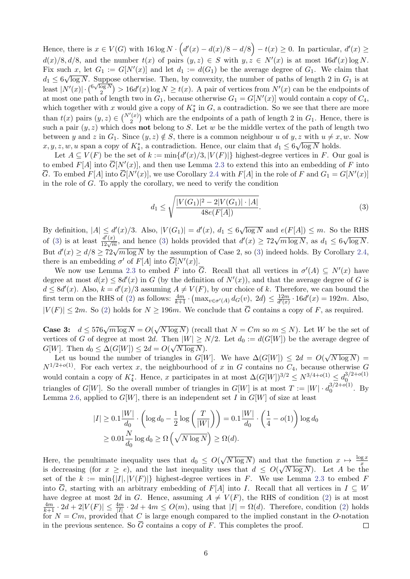Hence, there is  $x \in V(G)$  with  $16 \log N \cdot (d'(x) - d(x)/8 - d/8) - t(x) \ge 0$ . In particular,  $d'(x) \ge 0$  $d(x)/8, d/8$ , and the number  $t(x)$  of pairs  $(y, z) \in S$  with  $y, z \in N'(x)$  is at most  $16d'(x) \log N$ . Fix such x, let  $G_1 := G[N'(x)]$  and let  $d_1 := d(G_1)$  be the average degree of  $G_1$ . We claim that  $d_1 \leq 6\sqrt{\log N}$ . Suppose otherwise. Then, by convexity, the number of paths of length 2 in  $G_1$  is at least  $|N'(x)| \cdot {\binom{6\sqrt{\log N}}{2}}$  $\binom{\log N}{2}$  > 16d'(x) log  $N \ge t(x)$ . A pair of vertices from  $N'(x)$  can be the endpoints of at most one path of length two in  $G_1$ , because otherwise  $G_1 = G[N'(x)]$  would contain a copy of  $C_4$ , which together with x would give a copy of  $K_4^*$  in G, a contradiction. So we see that there are more than  $t(x)$  pairs  $(y, z) \in {N'(x) \choose 2}$  $2^{(x)}_2$ ) which are the endpoints of a path of length 2 in  $G_1$ . Hence, there is such a pair  $(y, z)$  which does **not** belong to S. Let w be the middle vertex of the path of length two between y and z in  $G_1$ . Since  $(y, z) \notin S$ , there is a common neighbour u of  $y, z$  with  $u \neq x, w$ . Now  $x, y, z, w, u$  span a copy of  $K_4^*$ , a contradiction. Hence, our claim that  $d_1 \leq 6\sqrt{\log N}$  holds.

Let  $A \subseteq V(F)$  be the set of  $k := \min\{d'(x)/3, |V(F)|\}$  highest-degree vertices in F. Our goal is to embed  $F[A]$  into  $\overline{G}[N'(x)]$ , and then use Lemma [2.3](#page-2-1) to extend this into an embedding of F into  $\overline{G}$ . To embed  $F[A]$  into  $\overline{G}[N'(x)]$ , we use Corollary [2.4](#page-3-3) with  $F[A]$  in the role of F and  $G_1 = G[N'(x)]$ in the role of G. To apply the corollary, we need to verify the condition

<span id="page-5-0"></span>
$$
d_1 \le \sqrt{\frac{|V(G_1)|^2 - 2|V(G_1)| \cdot |A|}{48e(F[A])}}.
$$
\n(3)

By definition,  $|A| \le d'(x)/3$ . Also,  $|V(G_1)| = d'(x)$ ,  $d_1 \le 6$ √  $\overline{\log N}$  and  $e(F[A]) \leq m$ . So the RHS of [\(3\)](#page-5-0) is at least  $\frac{d'(x)}{12\sqrt{m}}$ , and hence (3) holds provided that  $d'(x) \geq 72\sqrt{m \log N}$ , as  $d_1 \leq 6$ √  $\overline{\log N}.$ But  $d'(x) \geq d/8 \geq 72\sqrt{m \log N}$  by the assumption of Case 2, so [\(3\)](#page-5-0) indeed holds. By Corollary [2.4,](#page-3-3) there is an embedding  $\sigma'$  of  $F[A]$  into  $\overline{G}[N'(x)]$ .

We now use Lemma [2.3](#page-2-1) to embed F into  $\overline{G}$ . Recall that all vertices in  $\sigma'(A) \subseteq N'(x)$  have degree at most  $d(x) \leq 8d'(x)$  in G (by the definition of  $N'(x)$ ), and that the average degree of G is  $d \leq 8d'(x)$ . Also,  $k = d'(x)/3$  assuming  $A \neq V(F)$ , by our choice of k. Therefore, we can bound the first term on the RHS of [\(2\)](#page-2-2) as follows:  $\frac{4m}{k+1} \cdot (\max_{v \in \sigma'(A)} d_G(v), 2d) \leq \frac{12m}{d'(x)}$  $\frac{12m}{d'(x)} \cdot 16d'(x) = 192m$ . Also,  $|V(F)| \leq 2m$ . So [\(2\)](#page-2-2) holds for  $N \geq 196m$ . We conclude that  $\overline{G}$  contains a copy of F, as required.

Case 3:  $d \leq 576\sqrt{m \log N} = O($ √  $\overline{N \log N}$  (recall that  $N = Cm$  so  $m \leq N$ ). Let W be the set of vertices of G of degree at most 2d. Then  $|W| \ge N/2$ . Let  $d_0 := d(G[W])$  be the average degree of  $G[W]$ . Then  $d_0 \leq \Delta(G[W]) \leq 2d = O(\sqrt{N \log N})$ . √

Let us bound the number of triangles in  $G[W]$ . We have  $\Delta(G[W]) \leq 2d = O(q)$  $N\log N) =$  $N^{1/2+o(1)}$ . For each vertex x, the neighbourhood of x in G contains no  $C_4$ , because otherwise G would contain a copy of  $K_4^*$ . Hence, x participates in at most  $\Delta(G[W])^{3/2} \leq N^{3/4+o(1)} \leq d_0^{3/2+o(1)}$ 0 triangles of  $G[W]$ . So the overall number of triangles in  $G[W]$  is at most  $T := |W| \cdot d_0^{3/2 + o(1)}$  $b_0^{(3/2+o(1))}$ . By Lemma [2.6,](#page-3-2) applied to  $G[W]$ , there is an independent set I in  $G[W]$  of size at least

$$
|I| \ge 0.1 \frac{|W|}{d_0} \cdot \left(\log d_0 - \frac{1}{2} \log \left(\frac{T}{|W|}\right)\right) = 0.1 \frac{|W|}{d_0} \cdot \left(\frac{1}{4} - o(1)\right) \log d_0
$$
  

$$
\ge 0.01 \frac{N}{d_0} \log d_0 \ge \Omega\left(\sqrt{N \log N}\right) \ge \Omega(d).
$$

 $\sqrt{N \log N}$  and that the function  $x \mapsto \frac{\log x}{x}$ Here, the penultimate inequality uses that  $d_0 \leq O(\frac{1}{\sqrt{2}})$ is decreasing (for  $x \geq e$ ), and the last inequality uses that  $d \leq O(\sqrt{N \log N})$ . Let A be the set of the  $k := \min\{|I|, |V(F)|\}$  highest-degree vertices in F. We use Lemma [2.3](#page-2-1) to embed F into  $\overline{G}$ , starting with an arbitrary embedding of F[A] into I. Recall that all vertices in  $I \subseteq W$ have degree at most 2d in G. Hence, assuming  $A \neq V(F)$ , the RHS of condition [\(2\)](#page-2-2) is at most  $\frac{4m}{k+1} \cdot 2d + 2|V(F)| \leq \frac{4m}{|I|} \cdot 2d + 4m \leq O(m)$ , using that  $|I| = \Omega(d)$ . Therefore, condition [\(2\)](#page-2-2) holds for  $N = Cm$ , provided that C is large enough compared to the implied constant in the O-notation in the previous sentence. So  $\overline{G}$  contains a copy of F. This completes the proof.  $\Box$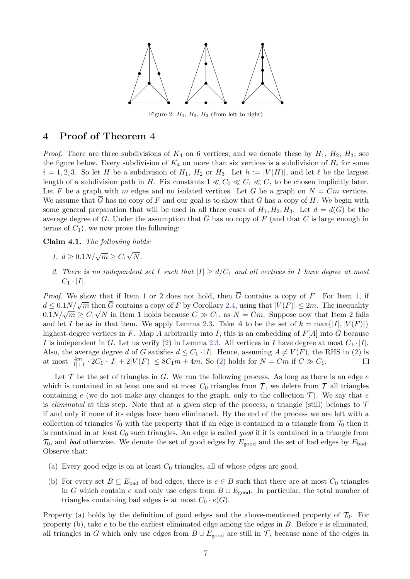

Figure 2:  $H_1$ ,  $H_2$ ,  $H_3$  (from left to right)

# <span id="page-6-0"></span>4 Proof of Theorem [4](#page-1-2)

*Proof.* There are three subdivisions of  $K_4$  on 6 vertices, and we denote these by  $H_1$ ,  $H_2$ ,  $H_3$ ; see the figure below. Every subdivision of  $K_4$  on more than six vertices is a subdivision of  $H_i$  for some  $i = 1, 2, 3$ . So let H be a subdivision of  $H_1$ ,  $H_2$  or  $H_3$ . Let  $h := |V(H)|$ , and let  $\ell$  be the largest length of a subdivision path in H. Fix constants  $1 \ll C_0 \ll C_1 \ll C$ , to be chosen implicitly later. Let F be a graph with m edges and no isolated vertices. Let G be a graph on  $N = Cm$  vertices. We assume that  $\overline{G}$  has no copy of F and our goal is to show that G has a copy of H. We begin with some general preparation that will be used in all three cases of  $H_1, H_2, H_3$ . Let  $d = d(G)$  be the average degree of G. Under the assumption that  $\overline{G}$  has no copy of F (and that C is large enough in terms of  $C_1$ ), we now prove the following:

<span id="page-6-1"></span>Claim 4.1. The following holds:

- 1.  $d \ge 0.1 N / \sqrt{m} \ge C_1$ √ N.
- 2. There is no independent set I such that  $|I| \ge d/C_1$  and all vertices in I have degree at most  $C_1 \cdot |I|.$

*Proof.* We show that if Item 1 or 2 does not hold, then  $\overline{G}$  contains a copy of F. For Item 1, if  $d \leq 0.1 N / \sqrt{m}$  then  $\overline{G}$  contains a copy of F by Corollary [2.4,](#page-3-3) using that  $|V(F)| \leq 2m$ . The inequality  $\frac{d}{dm} \leq 0.1N/\sqrt{m}$  in Item 1 holds because  $C \gg C_1$ , as  $N = Cm$ . Suppose now that Item 2 fails and let I be as in that item. We apply Lemma [2.3.](#page-2-1) Take A to be the set of  $k = \max\{|I|, |V(F)|\}$ highest-degree vertices in F. Map A arbitrarily into I; this is an embedding of  $F[A]$  into  $\overline{G}$  because I is independent in G. Let us verify [\(2\)](#page-2-2) in Lemma [2.3.](#page-2-1) All vertices in I have degree at most  $C_1 \cdot |I|$ . Also, the average degree d of G satisfies  $d \leq C_1 \cdot |I|$ . Hence, assuming  $A \neq V(F)$ , the RHS in [\(2\)](#page-2-2) is at most  $\frac{4m}{|I|+1} \cdot 2C_1 \cdot |I| + 2|V(F)| \leq 8C_1m + 4m$ . So [\(2\)](#page-2-2) holds for  $N = Cm$  if  $C \gg C_1$ .  $\Box$ 

Let  $\mathcal T$  be the set of triangles in  $G$ . We run the following process. As long as there is an edge  $e$ which is contained in at least one and at most  $C_0$  triangles from  $\mathcal T$ , we delete from  $\mathcal T$  all triangles containing e (we do not make any changes to the graph, only to the collection  $\mathcal{T}$ ). We say that e is eliminated at this step. Note that at a given step of the process, a triangle (still) belongs to  $\mathcal T$ if and only if none of its edges have been eliminated. By the end of the process we are left with a collection of triangles  $\mathcal{T}_0$  with the property that if an edge is contained in a triangle from  $\mathcal{T}_0$  then it is contained in at least  $C_0$  such triangles. An edge is called good if it is contained in a triangle from  $\mathcal{T}_0$ , and bad otherwise. We denote the set of good edges by  $E_{\text{good}}$  and the set of bad edges by  $E_{\text{bad}}$ . Observe that:

- (a) Every good edge is on at least  $C_0$  triangles, all of whose edges are good.
- (b) For every set  $B \subseteq E_{bad}$  of bad edges, there is  $e \in B$  such that there are at most  $C_0$  triangles in G which contain e and only use edges from  $B \cup E_{\text{good}}$ . In particular, the total number of triangles containing bad edges is at most  $C_0 \cdot e(G)$ .

Property (a) holds by the definition of good edges and the above-mentioned property of  $\mathcal{T}_0$ . For property (b), take  $e$  to be the earliest eliminated edge among the edges in  $B$ . Before  $e$  is eliminated, all triangles in G which only use edges from  $B \cup E_{good}$  are still in T, because none of the edges in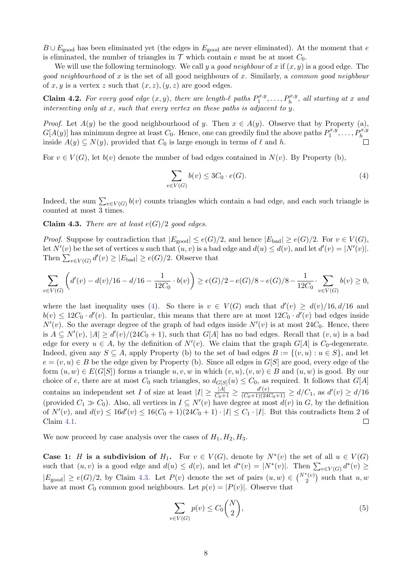$B \cup E_{\text{good}}$  has been eliminated yet (the edges in  $E_{\text{good}}$  are never eliminated). At the moment that e is eliminated, the number of triangles in  $\mathcal T$  which contain e must be at most  $C_0$ .

We will use the following terminology. We call y a good neighbour of x if  $(x, y)$  is a good edge. The good neighbourhood of x is the set of all good neighbours of x. Similarly, a common good neighbour of x, y is a vertex z such that  $(x, z), (y, z)$  are good edges.

<span id="page-7-3"></span>**Claim 4.2.** For every good edge  $(x, y)$ , there are length- $\ell$  paths  $P_1^{x,y}$  $P_1^{x,y},\ldots,P_h^{x,y},\ all\ starting\ at\ x\ and$ intersecting only at x, such that every vertex on these paths is adjacent to y.

*Proof.* Let  $A(y)$  be the good neighbourhood of y. Then  $x \in A(y)$ . Observe that by Property (a),  $G[A(y)]$  has minimum degree at least  $C_0$ . Hence, one can greedily find the above paths  $P_1^{x,y}$  $P_1^{x,y},\ldots,P_h^{x,y}$ inside  $A(y) \subseteq N(y)$ , provided that  $C_0$  is large enough in terms of  $\ell$  and h.

For  $v \in V(G)$ , let  $b(v)$  denote the number of bad edges contained in  $N(v)$ . By Property (b),

<span id="page-7-0"></span>
$$
\sum_{v \in V(G)} b(v) \le 3C_0 \cdot e(G). \tag{4}
$$

Indeed, the sum  $\sum_{v \in V(G)} b(v)$  counts triangles which contain a bad edge, and each such triangle is counted at most 3 times.

<span id="page-7-1"></span>**Claim 4.3.** There are at least  $e(G)/2$  good edges.

*Proof.* Suppose by contradiction that  $|E_{\text{good}}| \leq e(G)/2$ , and hence  $|E_{\text{bad}}| \geq e(G)/2$ . For  $v \in V(G)$ , let  $N'(v)$  be the set of vertices u such that  $(u, v)$  is a bad edge and  $d(u) \leq d(v)$ , and let  $d'(v) = |N'(v)|$ . Then  $\sum_{v \in V(G)} d'(v) \ge |E_{bad}| \ge e(G)/2$ . Observe that

$$
\sum_{v \in V(G)} \left( d'(v) - d(v)/16 - d/16 - \frac{1}{12C_0} \cdot b(v) \right) \ge e(G)/2 - e(G)/8 - e(G)/8 - \frac{1}{12C_0} \cdot \sum_{v \in V(G)} b(v) \ge 0,
$$

where the last inequality uses [\(4\)](#page-7-0). So there is  $v \in V(G)$  such that  $d'(v) \geq d(v)/16, d/16$  and  $b(v) \leq 12C_0 \cdot d'(v)$ . In particular, this means that there are at most  $12C_0 \cdot d'(v)$  bad edges inside  $N'(v)$ . So the average degree of the graph of bad edges inside  $N'(v)$  is at most 24 $C_0$ . Hence, there is  $A \subseteq N'(v)$ ,  $|A| \ge d'(v)/(24C_0+1)$ , such that  $G[A]$  has no bad edges. Recall that  $(v, u)$  is a bad edge for every  $u \in A$ , by the definition of  $N'(v)$ . We claim that the graph  $G[A]$  is  $C_0$ -degenerate. Indeed, given any  $S \subseteq A$ , apply Property (b) to the set of bad edges  $B := \{(v, u) : u \in S\}$ , and let  $e = (v, u) \in B$  be the edge given by Property (b). Since all edges in  $G[S]$  are good, every edge of the form  $(u, w) \in E(G[S])$  forms a triangle  $u, v, w$  in which  $(v, u), (v, w) \in B$  and  $(u, w)$  is good. By our choice of e, there are at most  $C_0$  such triangles, so  $d_{G[S]}(u) \leq C_0$ , as required. It follows that  $G[A]$ contains an independent set I of size at least  $|I| \ge \frac{|A|}{C_0+1} \ge \frac{d'(v)}{(C_0+1)(24C_0+1)} \ge d/C_1$ , as  $d'(v) \ge d/16$ (provided  $C_1 \gg C_0$ ). Also, all vertices in  $I \subseteq N'(v)$  have degree at most  $d(v)$  in G, by the definition of  $N'(v)$ , and  $d(v) \leq 16d'(v) \leq 16(C_0+1)(24C_0+1) \cdot |I| \leq C_1 \cdot |I|$ . But this contradicts Item 2 of Claim [4.1.](#page-6-1)  $\Box$ 

We now proceed by case analysis over the cases of  $H_1, H_2, H_3$ .

Case 1: H is a subdivision of  $H_1$ . For  $v \in V(G)$ , denote by  $N^*(v)$  the set of all  $u \in V(G)$ such that  $(u, v)$  is a good edge and  $d(u) \leq d(v)$ , and let  $d^*(v) = |N^*(v)|$ . Then  $\sum_{v \in V(G)} d^*(v) \geq$  $|E_{\text{good}}| \ge e(G)/2$ , by Claim [4.3.](#page-7-1) Let  $P(v)$  denote the set of pairs  $(u, w) \in {N^*(v) \choose 2}$  such that  $u, w$ have at most  $C_0$  common good neighbours. Let  $p(v) = |P(v)|$ . Observe that

<span id="page-7-2"></span>
$$
\sum_{v \in V(G)} p(v) \le C_0 \binom{N}{2},\tag{5}
$$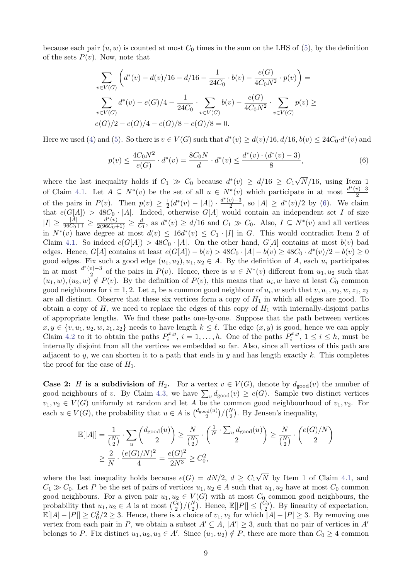because each pair  $(u, w)$  is counted at most  $C_0$  times in the sum on the LHS of [\(5\)](#page-7-2), by the definition of the sets  $P(v)$ . Now, note that

$$
\sum_{v \in V(G)} \left( d^*(v) - d(v)/16 - d/16 - \frac{1}{24C_0} \cdot b(v) - \frac{e(G)}{4C_0 N^2} \cdot p(v) \right) =
$$
\n
$$
\sum_{v \in V(G)} d^*(v) - e(G)/4 - \frac{1}{24C_0} \cdot \sum_{v \in V(G)} b(v) - \frac{e(G)}{4C_0 N^2} \cdot \sum_{v \in V(G)} p(v) \ge
$$
\n
$$
e(G)/2 - e(G)/4 - e(G)/8 - e(G)/8 = 0.
$$

Here we used [\(4\)](#page-7-0) and [\(5\)](#page-7-2). So there is  $v \in V(G)$  such that  $d^*(v) \geq d(v)/16$ ,  $d/16$ ,  $b(v) \leq 24C_0 \cdot d^*(v)$  and

<span id="page-8-0"></span>
$$
p(v) \le \frac{4C_0N^2}{e(G)} \cdot d^*(v) = \frac{8C_0N}{d} \cdot d^*(v) \le \frac{d^*(v) \cdot (d^*(v) - 3)}{8},\tag{6}
$$

where the last inequality holds if  $C_1 \gg C_0$  because  $d^*(v) \geq d/16 \geq C_1$ √  $N/16$ , using Item 1 of Claim [4.1.](#page-6-1) Let  $A \subseteq N^*(v)$  be the set of all  $u \in N^*(v)$  which participate in at most  $\frac{d^*(v)-3}{2}$ 2 of the pairs in  $P(v)$ . Then  $p(v) \geq \frac{1}{2}$  $\frac{1}{2}(d^*(v) - |A|) \cdot \frac{d^*(v) - 3}{2}$  $\frac{v-3}{2}$ , so  $|A| \geq d^*(v)/2$  by [\(6\)](#page-8-0). We claim that  $e(G[A]) > 48C_0 \cdot |A|$ . Indeed, otherwise  $G[A]$  would contain an independent set I of size  $|I| \ge \frac{|A|}{96C_0+1} \ge \frac{d^*(v)}{2(96C_0+1)} \ge \frac{d}{C}$  $\frac{d}{C_1}$ , as  $d^*(v) \ge d/16$  and  $C_1 \gg C_0$ . Also,  $I \subseteq N^*(v)$  and all vertices in  $N^*(v)$  have degree at most  $d(v) \leq 16d^*(v) \leq C_1 \cdot |I|$  in G. This would contradict Item 2 of Claim [4.1.](#page-6-1) So indeed  $e(G[A]) > 48C_0 \cdot |A|$ . On the other hand,  $G[A]$  contains at most  $b(v)$  bad edges. Hence,  $G[A]$  contains at least  $e(G[A]) - b(v) > 48C_0 \cdot |A| - b(v) \ge 48C_0 \cdot d^*(v)/2 - b(v) \ge 0$ good edges. Fix such a good edge  $(u_1, u_2), u_1, u_2 \in A$ . By the definition of A, each  $u_i$  participates in at most  $\frac{d^*(v)-3}{2}$  $\frac{v-3}{2}$  of the pairs in  $P(v)$ . Hence, there is  $w \in N^*(v)$  different from  $u_1, u_2$  such that  $(u_1, w), (u_2, w) \notin P(v)$ . By the definition of  $P(v)$ , this means that  $u_i, w$  have at least  $C_0$  common good neighbours for  $i = 1, 2$ . Let  $z_i$  be a common good neighbour of  $u_i, w$  such that  $v, u_1, u_2, w, z_1, z_2$ are all distinct. Observe that these six vertices form a copy of  $H_1$  in which all edges are good. To obtain a copy of  $H$ , we need to replace the edges of this copy of  $H_1$  with internally-disjoint paths of appropriate lengths. We find these paths one-by-one. Suppose that the path between vertices  $x, y \in \{v, u_1, u_2, w, z_1, z_2\}$  needs to have length  $k \leq \ell$ . The edge  $(x, y)$  is good, hence we can apply Claim [4.2](#page-7-3) to it to obtain the paths  $P_i^{x,y}$  $p_i^{x,y}, i = 1, \ldots, h.$  One of the paths  $P_i^{x,y}$  $p_i^{x,y}, 1 \leq i \leq h$ , must be internally disjoint from all the vertices we embedded so far. Also, since all vertices of this path are adjacent to y, we can shorten it to a path that ends in y and has length exactly  $k$ . This completes the proof for the case of  $H_1$ .

**Case 2:** H is a subdivision of  $H_2$ . For a vertex  $v \in V(G)$ , denote by  $d_{\text{good}}(v)$  the number of good neighbours of v. By Claim [4.3,](#page-7-1) we have  $\sum_{v} d_{\text{good}}(v) \ge e(G)$ . Sample two distinct vertices  $v_1, v_2 \in V(G)$  uniformly at random and let A be the common good neighbourhood of  $v_1, v_2$ . For each  $u \in V(G)$ , the probability that  $u \in A$  is  $\binom{d_{\text{good}}(u)}{2}$  $\binom{p}{2}$  / $\binom{N}{2}$ . By Jensen's inequality,

$$
\mathbb{E}[|A|] = \frac{1}{\binom{N}{2}} \cdot \sum_{u} \binom{d_{\text{good}}(u)}{2} \ge \frac{N}{\binom{N}{2}} \cdot \binom{\frac{1}{N} \cdot \sum_{u} d_{\text{good}}(u)}{2} \ge \frac{N}{\binom{N}{2}} \cdot \binom{e(G)/N}{2}
$$

$$
\ge \frac{2}{N} \cdot \frac{(e(G)/N)^2}{4} = \frac{e(G)^2}{2N^3} \ge C_0^2,
$$

where the last inequality holds because  $e(G) = dN/2, d \geq C_1$ √ N by Item 1 of Claim [4.1,](#page-6-1) and  $C_1 \gg C_0$ . Let P be the set of pairs of vertices  $u_1, u_2 \in A$  such that  $u_1, u_2$  have at most  $C_0$  common good neighbours. For a given pair  $u_1, u_2 \in V(G)$  with at most  $C_0$  common good neighbours, the probability that  $u_1, u_2 \in A$  is at most  ${C_0 \choose 2} / {N \choose 2}$ . Hence,  $\mathbb{E}[|P|] \leq {C_0 \choose 2}$ . By linearity of expectation,  $\mathbb{E}[|A| - |P|] \geq C_0^2/2 \geq 3$ . Hence, there is a choice of  $v_1, v_2$  for which  $|A| - |P| \geq 3$ . By removing one vertex from each pair in P, we obtain a subset  $A' \subseteq A$ ,  $|A'| \geq 3$ , such that no pair of vertices in A' belongs to P. Fix distinct  $u_1, u_2, u_3 \in A'$ . Since  $(u_1, u_2) \notin P$ , there are more than  $C_0 \geq 4$  common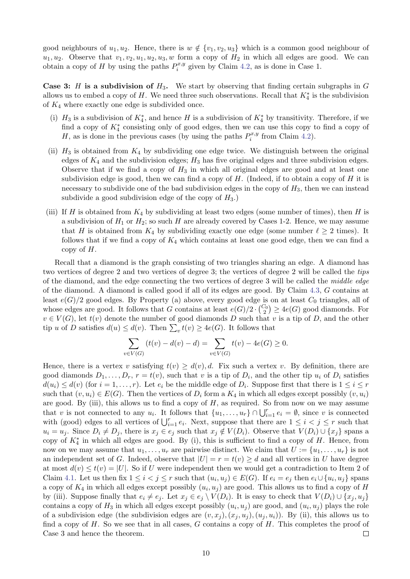good neighbours of  $u_1, u_2$ . Hence, there is  $w \notin \{v_1, v_2, u_3\}$  which is a common good neighbour of  $u_1, u_2$ . Observe that  $v_1, v_2, u_1, u_2, u_3, w$  form a copy of  $H_2$  in which all edges are good. We can obtain a copy of H by using the paths  $P_i^{x,y}$  $j_i^{x,y}$  given by Claim [4.2,](#page-7-3) as is done in Case 1.

**Case 3:** H is a subdivision of  $H_3$ . We start by observing that finding certain subgraphs in G allows us to embed a copy of H. We need three such observations. Recall that  $K_4^*$  is the subdivision of  $K_4$  where exactly one edge is subdivided once.

- (i)  $H_3$  is a subdivision of  $K_4^*$ , and hence H is a subdivision of  $K_4^*$  by transitivity. Therefore, if we find a copy of  $K_4^*$  consisting only of good edges, then we can use this copy to find a copy of H, as is done in the previous cases (by using the paths  $P_i^{x,y}$  $p_i^{x,y}$  from Claim [4.2\)](#page-7-3).
- (ii)  $H_3$  is obtained from  $K_4$  by subdividing one edge twice. We distinguish between the original edges of  $K_4$  and the subdivision edges;  $H_3$  has five original edges and three subdivision edges. Observe that if we find a copy of  $H_3$  in which all original edges are good and at least one subdivision edge is good, then we can find a copy of  $H$ . (Indeed, if to obtain a copy of  $H$  it is necessary to subdivide one of the bad subdivision edges in the copy of  $H_3$ , then we can instead subdivide a good subdivision edge of the copy of  $H_3$ .)
- (iii) If H is obtained from  $K_4$  by subdividing at least two edges (some number of times), then H is a subdivision of  $H_1$  or  $H_2$ ; so such H are already covered by Cases 1-2. Hence, we may assume that H is obtained from  $K_4$  by subdividing exactly one edge (some number  $\ell > 2$  times). It follows that if we find a copy of  $K_4$  which contains at least one good edge, then we can find a copy of  $H$ .

Recall that a diamond is the graph consisting of two triangles sharing an edge. A diamond has two vertices of degree 2 and two vertices of degree 3; the vertices of degree 2 will be called the tips of the diamond, and the edge connecting the two vertices of degree 3 will be called the middle edge of the diamond. A diamond is called good if all of its edges are good. By Claim [4.3,](#page-7-1) G contains at least  $e(G)/2$  good edges. By Property (a) above, every good edge is on at least  $C_0$  triangles, all of whose edges are good. It follows that G contains at least  $e(G)/2 \cdot {C_0 \choose 2} \ge 4e(G)$  good diamonds. For  $v \in V(G)$ , let  $t(v)$  denote the number of good diamonds D such that v is a tip of D, and the other tip u of D satisfies  $d(u) \leq d(v)$ . Then  $\sum_{v} t(v) \geq 4e(G)$ . It follows that

$$
\sum_{v \in V(G)} (t(v) - d(v) - d) = \sum_{v \in V(G)} t(v) - 4e(G) \ge 0.
$$

Hence, there is a vertex v satisfying  $t(v) \geq d(v)$ , d. Fix such a vertex v. By definition, there are good diamonds  $D_1, \ldots, D_r$ ,  $r = t(v)$ , such that v is a tip of  $D_i$ , and the other tip  $u_i$  of  $D_i$  satisfies  $d(u_i) \leq d(v)$  (for  $i = 1, \ldots, r$ ). Let  $e_i$  be the middle edge of  $D_i$ . Suppose first that there is  $1 \leq i \leq r$ such that  $(v, u_i) \in E(G)$ . Then the vertices of  $D_i$  form a  $K_4$  in which all edges except possibly  $(v, u_i)$ are good. By (iii), this allows us to find a copy of  $H$ , as required. So from now on we may assume that v is not connected to any  $u_i$ . It follows that  $\{u_1, \ldots, u_r\} \cap \bigcup_{i=1}^r e_i = \emptyset$ , since v is connected with (good) edges to all vertices of  $\bigcup_{i=1}^r e_i$ . Next, suppose that there are  $1 \leq i < j \leq r$  such that  $u_i = u_j$ . Since  $D_i \neq D_j$ , there is  $x_j \in e_j$  such that  $x_j \notin V(D_i)$ . Observe that  $V(D_i) \cup \{x_j\}$  spans a copy of  $K_4^*$  in which all edges are good. By (i), this is sufficient to find a copy of H. Hence, from now on we may assume that  $u_1, \ldots, u_r$  are pairwise distinct. We claim that  $U := \{u_1, \ldots, u_r\}$  is not an independent set of G. Indeed, observe that  $|U| = r = t(v) \geq d$  and all vertices in U have degree at most  $d(v) \leq t(v) = |U|$ . So if U were independent then we would get a contradiction to Item 2 of Claim [4.1.](#page-6-1) Let us then fix  $1 \leq i < j \leq r$  such that  $(u_i, u_j) \in E(G)$ . If  $e_i = e_j$  then  $e_i \cup \{u_i, u_j\}$  spans a copy of  $K_4$  in which all edges except possibly  $(u_i, u_j)$  are good. This allows us to find a copy of H by (iii). Suppose finally that  $e_i \neq e_j$ . Let  $x_j \in e_j \setminus V(D_i)$ . It is easy to check that  $V(D_i) \cup \{x_j, u_j\}$ contains a copy of  $H_3$  in which all edges except possibly  $(u_i, u_j)$  are good, and  $(u_i, u_j)$  plays the role of a subdivision edge (the subdivision edges are  $(v, x_i), (x_i, u_i), (u_i, u_i)$ ). By (ii), this allows us to find a copy of  $H$ . So we see that in all cases,  $G$  contains a copy of  $H$ . This completes the proof of Case 3 and hence the theorem.  $\Box$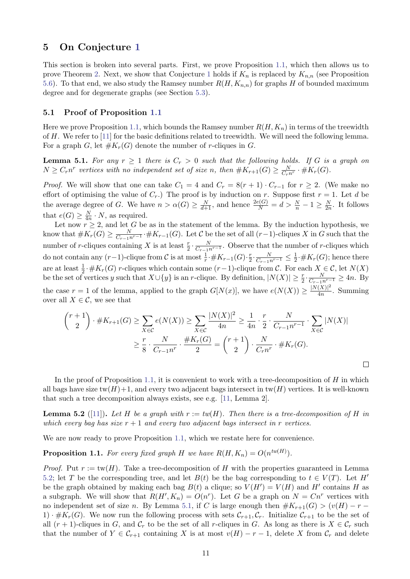### <span id="page-10-0"></span>5 On Conjecture [1](#page-0-1)

This section is broken into several parts. First, we prove Proposition [1.1,](#page-1-3) which then allows us to prove Theorem [2.](#page-0-2) Next, we show that Conjecture [1](#page-0-1) holds if  $K_n$  is replaced by  $K_{n,n}$  (see Proposition [5.6\)](#page-13-1). To that end, we also study the Ramsey number  $R(H, K_{n,n})$  for graphs H of bounded maximum degree and for degenerate graphs (see Section [5.3\)](#page-12-0).

#### 5.1 Proof of Proposition [1.1](#page-1-3)

Here we prove Proposition [1.1,](#page-1-3) which bounds the Ramsey number  $R(H, K_n)$  in terms of the treewidth of  $H$ . We refer to [\[11\]](#page-14-10) for the basic definitions related to treewidth. We will need the following lemma. For a graph G, let  $#K_r(G)$  denote the number of r-cliques in G.

<span id="page-10-2"></span>**Lemma 5.1.** For any  $r \geq 1$  there is  $C_r > 0$  such that the following holds. If G is a graph on  $N \geq C_r n^r$  vertices with no independent set of size n, then  $\#K_{r+1}(G) \geq \frac{N}{C_r n^r} \cdot \#K_r(G)$ .

*Proof.* We will show that one can take  $C_1 = 4$  and  $C_r = 8(r + 1) \cdot C_{r-1}$  for  $r \geq 2$ . (We make no effort of optimising the value of  $C_r$ .) The proof is by induction on r. Suppose first  $r = 1$ . Let d be the average degree of G. We have  $n > \alpha(G) \ge \frac{N}{d+1}$ , and hence  $\frac{2e(G)}{N} = d > \frac{N}{n} - 1 \ge \frac{N}{2n}$  $\frac{N}{2n}$ . It follows that  $e(G) \geq \frac{N}{4n} \cdot N$ , as required.

Let now  $r \geq 2$ , and let G be as in the statement of the lemma. By the induction hypothesis, we know that  $\#K_r(G) \geq \frac{N}{C_{r-1}n^{r-1}} \cdot \#K_{r-1}(G)$ . Let C be the set of all  $(r-1)$ -cliques X in G such that the number of r-cliques containing X is at least  $\frac{r}{2} \cdot \frac{N}{C_{r-1}n^{r-1}}$ . Observe that the number of r-cliques which do not contain any  $(r-1)$ -clique from  $\mathcal C$  is at most  $\frac{1}{r} \cdot \# K_{r-1}(G) \cdot \frac{r}{2}$  $\frac{r}{2} \cdot \frac{N}{C_{r-1}n^{r-1}} \leq \frac{1}{2}$  $\frac{1}{2} \cdot \# K_r(G)$ ; hence there are at least  $\frac{1}{2} \cdot \# K_r(G)$  r-cliques which contain some  $(r-1)$ -clique from C. For each  $X \in \mathcal{C}$ , let  $N(X)$ be the set of vertices y such that  $X \cup \{y\}$  is an r-clique. By definition,  $|N(X)| \geq \frac{r}{2} \cdot \frac{N}{C_{r-1}n^{r-1}} \geq 4n$ . By the case  $r = 1$  of the lemma, applied to the graph  $G[N(x)]$ , we have  $e(N(X)) \geq \frac{|N(X)|^2}{4n}$  $\frac{(A)|^2}{4n}$ . Summing

over all  $X \in \mathcal{C}$ , we see that

$$
\binom{r+1}{2} \cdot \#K_{r+1}(G) \ge \sum_{X \in \mathcal{C}} e(N(X)) \ge \sum_{X \in \mathcal{C}} \frac{|N(X)|^2}{4n} \ge \frac{1}{4n} \cdot \frac{r}{2} \cdot \frac{N}{C_{r-1}n^{r-1}} \cdot \sum_{X \in \mathcal{C}} |N(X)|
$$

$$
\ge \frac{r}{8} \cdot \frac{N}{C_{r-1}n^r} \cdot \frac{\#K_r(G)}{2} = \binom{r+1}{2} \cdot \frac{N}{C_rn^r} \cdot \#K_r(G).
$$

In the proof of Proposition [1.1,](#page-1-3) it is convenient to work with a tree-decomposition of  $H$  in which all bags have size  $tw(H)+1$ , and every two adjacent bags intersect in  $tw(H)$  vertices. It is well-known that such a tree decomposition always exists, see e.g. [\[11,](#page-14-10) Lemma 2].

<span id="page-10-1"></span>**Lemma 5.2** ([\[11\]](#page-14-10)). Let H be a graph with  $r := tw(H)$ . Then there is a tree-decomposition of H in which every bag has size  $r + 1$  and every two adjacent bags intersect in r vertices.

We are now ready to prove Proposition [1.1,](#page-1-3) which we restate here for convenience.

**Proposition 1.1.** For every fixed graph H we have  $R(H, K_n) = O(n^{tw(H)})$ .

*Proof.* Put  $r := \text{tw}(H)$ . Take a tree-decomposition of H with the properties guaranteed in Lemma [5.2;](#page-10-1) let T be the corresponding tree, and let  $B(t)$  be the bag corresponding to  $t \in V(T)$ . Let H' be the graph obtained by making each bag  $B(t)$  a clique; so  $V(H') = V(H)$  and H' contains H as a subgraph. We will show that  $R(H', K_n) = O(n^r)$ . Let G be a graph on  $N = Cn^r$  vertices with no independent set of size n. By Lemma [5.1,](#page-10-2) if C is large enough then  $\#K_{r+1}(G) > (v(H) - r -$ 1)  $\cdot \#K_r(G)$ . We now run the following process with sets  $\mathcal{C}_{r+1}, \mathcal{C}_r$ . Initialize  $\mathcal{C}_{r+1}$  to be the set of all  $(r + 1)$ -cliques in G, and  $\mathcal{C}_r$  to be the set of all r-cliques in G. As long as there is  $X \in \mathcal{C}_r$  such that the number of  $Y \in \mathcal{C}_{r+1}$  containing X is at most  $v(H) - r - 1$ , delete X from  $\mathcal{C}_r$  and delete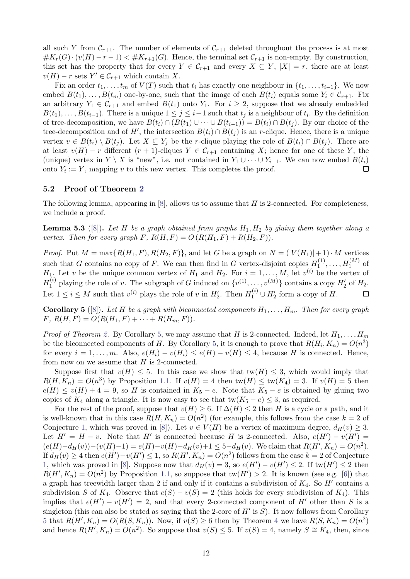all such Y from  $C_{r+1}$ . The number of elements of  $C_{r+1}$  deleted throughout the process is at most  $\#K_r(G) \cdot (v(H) - r - 1) < \#K_{r+1}(G)$ . Hence, the terminal set  $C_{r+1}$  is non-empty. By construction, this set has the property that for every  $Y \in \mathcal{C}_{r+1}$  and every  $X \subseteq Y$ ,  $|X| = r$ , there are at least  $v(H) - r$  sets  $Y' \in C_{r+1}$  which contain X.

Fix an order  $t_1, \ldots, t_m$  of  $V(T)$  such that  $t_i$  has exactly one neighbour in  $\{t_1, \ldots, t_{i-1}\}$ . We now embed  $B(t_1), \ldots, B(t_m)$  one-by-one, such that the image of each  $B(t_i)$  equals some  $Y_i \in C_{r+1}$ . Fix an arbitrary  $Y_1 \in \mathcal{C}_{r+1}$  and embed  $B(t_1)$  onto  $Y_1$ . For  $i \geq 2$ , suppose that we already embedded  $B(t_1), \ldots, B(t_{i-1})$ . There is a unique  $1 \leq j \leq i-1$  such that  $t_j$  is a neighbour of  $t_i$ . By the definition of tree-decomposition, we have  $B(t_i) \cap (B(t_1) \cup \cdots \cup B(t_{i-1})) = B(t_i) \cap B(t_j)$ . By our choice of the tree-decomposition and of H', the intersection  $B(t_i) \cap B(t_j)$  is an r-clique. Hence, there is a unique vertex  $v \in B(t_i) \setminus B(t_j)$ . Let  $X \subseteq Y_j$  be the r-clique playing the role of  $B(t_i) \cap B(t_j)$ . There are at least  $v(H) - r$  different  $(r + 1)$ -cliques  $Y \in C_{r+1}$  containing X; hence for one of these Y, the (unique) vertex in  $Y \setminus X$  is "new", i.e. not contained in  $Y_1 \cup \cdots \cup Y_{i-1}$ . We can now embed  $B(t_i)$ onto  $Y_i := Y$ , mapping v to this new vertex. This completes the proof.  $\Box$ 

#### 5.2 Proof of Theorem [2](#page-0-2)

The following lemma, appearing in  $[8]$ , allows us to assume that H is 2-connected. For completeness, we include a proof.

**Lemma 5.3** ([\[8\]](#page-14-6)). Let H be a graph obtained from graphs  $H_1, H_2$  by gluing them together along a vertex. Then for every graph F,  $R(H, F) = O(R(H_1, F) + R(H_2, F)).$ 

*Proof.* Put  $M = \max\{R(H_1, F), R(H_2, F)\}\$ , and let G be a graph on  $N = (|V(H_1)| + 1) \cdot M$  vertices such that  $\overline{G}$  contains no copy of F. We can then find in G vertex-disjoint copies  $H_1^{(1)}$  $H_1^{(1)}, \ldots, H_1^{(M)}$  of  $H_1$ . Let v be the unique common vertex of  $H_1$  and  $H_2$ . For  $i = 1, ..., M$ , let  $v^{(i)}$  be the vertex of  $H_1^{(i)}$ <sup>(i)</sup> playing the role of v. The subgraph of G induced on  $\{v^{(1)}, \ldots, v^{(M)}\}$  contains a copy  $H'_2$  of  $H_2$ . Let  $1 \leq i \leq M$  such that  $v^{(i)}$  plays the role of v in  $H'_2$ . Then  $H_1^{(i)} \cup H'_2$  form a copy of H.  $\Box$ 

<span id="page-11-0"></span>**Corollary 5** ([\[8\]](#page-14-6)). Let H be a graph with biconnected components  $H_1, \ldots, H_m$ . Then for every graph  $F, R(H, F) = O(R(H_1, F) + \cdots + R(H_m, F)).$ 

*Proof of Theorem [2.](#page-0-2)* By Corollary [5,](#page-11-0) we may assume that H is 2-connected. Indeed, let  $H_1, \ldots, H_m$ be the biconnected components of H. By Corollary [5,](#page-11-0) it is enough to prove that  $R(H_i, K_n) = O(n^3)$ for every  $i = 1, \ldots, m$ . Also,  $e(H_i) - v(H_i) \le e(H) - v(H) \le 4$ , because H is connected. Hence, from now on we assume that  $H$  is 2-connected.

Suppose first that  $v(H) \leq 5$ . In this case we show that  $tw(H) \leq 3$ , which would imply that  $R(H, K_n) = O(n^3)$  by Proposition [1.1.](#page-1-3) If  $v(H) = 4$  then  $tw(H) \leq tw(K_4) = 3$ . If  $v(H) = 5$  then  $e(H) \le v(H) + 4 = 9$ , so H is contained in  $K_5 - e$ . Note that  $K_5 - e$  is obtained by gluing two copies of  $K_4$  along a triangle. It is now easy to see that tw $(K_5 - e) \leq 3$ , as required.

For the rest of the proof, suppose that  $v(H) \geq 6$ . If  $\Delta(H) \leq 2$  then H is a cycle or a path, and it is well-known that in this case  $R(H, K_n) = O(n^2)$  (for example, this follows from the case  $k = 2$  of Conjecture [1,](#page-0-1) which was proved in [\[8\]](#page-14-6)). Let  $v \in V(H)$  be a vertex of maximum degree,  $d_H(v) \geq 3$ . Let  $H' = H - v$ . Note that H' is connected because H is 2-connected. Also,  $e(H') - v(H') =$  $(e(H)-d_H(v))-(v(H)-1)=e(H)-v(H)-d_H(v)+1\leq 5-d_H(v)$ . We claim that  $R(H', K_n)=O(n^2)$ . If  $d_H(v) \ge 4$  then  $e(H') - v(H') \le 1$ , so  $R(H', K_n) = O(n^2)$  follows from the case  $k = 2$  of Conjecture [1,](#page-0-1) which was proved in [\[8\]](#page-14-6). Suppose now that  $d_H(v) = 3$ , so  $e(H') - v(H') \le 2$ . If  $tw(H') \le 2$  then  $R(H', K_n) = O(n^2)$  by Proposition [1.1,](#page-1-3) so suppose that  $tw(H') > 2$ . It is known (see e.g. [\[6\]](#page-14-11)) that a graph has treewidth larger than 2 if and only if it contains a subdivision of  $K_4$ . So  $H'$  contains a subdivision S of K<sub>4</sub>. Observe that  $e(S) - v(S) = 2$  (this holds for every subdivision of K<sub>4</sub>). This implies that  $e(H') - v(H') = 2$ , and that every 2-connected component of H' other than S is a singleton (this can also be stated as saying that the 2-core of  $H'$  is  $S$ ). It now follows from Corollary [5](#page-11-0) that  $R(H', K_n) = O(R(S, K_n))$ . Now, if  $v(S) \ge 6$  then by Theorem [4](#page-1-2) we have  $R(S, K_n) = O(n^2)$ and hence  $R(H', K_n) = O(n^2)$ . So suppose that  $v(S) \leq 5$ . If  $v(S) = 4$ , namely  $S \cong K_4$ , then, since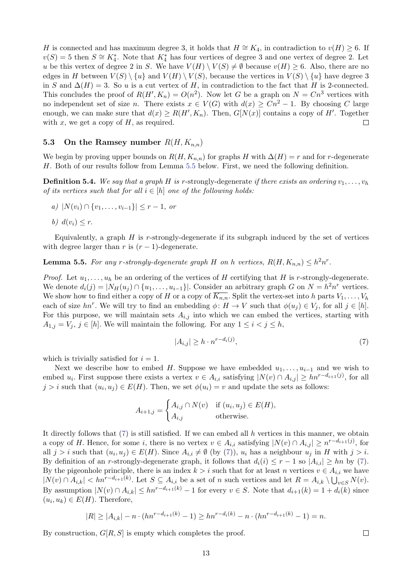H is connected and has maximum degree 3, it holds that  $H \cong K_4$ , in contradiction to  $v(H) \geq 6$ . If  $v(S) = 5$  then  $S \cong K_4^*$ . Note that  $K_4^*$  has four vertices of degree 3 and one vertex of degree 2. Let u be this vertex of degree 2 in S. We have  $V(H) \setminus V(S) \neq \emptyset$  because  $v(H) \geq 6$ . Also, there are no edges in H between  $V(S) \setminus \{u\}$  and  $V(H) \setminus V(S)$ , because the vertices in  $V(S) \setminus \{u\}$  have degree 3 in S and  $\Delta(H) = 3$ . So u is a cut vertex of H, in contradiction to the fact that H is 2-connected. This concludes the proof of  $R(H', K_n) = O(n^2)$ . Now let G be a graph on  $N = Cn^3$  vertices with no independent set of size n. There exists  $x \in V(G)$  with  $d(x) \geq Cn^2 - 1$ . By choosing C large enough, we can make sure that  $d(x) \ge R(H', K_n)$ . Then,  $G[N(x)]$  contains a copy of H'. Together with  $x$ , we get a copy of  $H$ , as required.  $\Box$ 

# <span id="page-12-0"></span>5.3 On the Ramsey number  $R(H, K_{n,n})$

We begin by proving upper bounds on  $R(H, K_{n,n})$  for graphs H with  $\Delta(H) = r$  and for r-degenerate H. Both of our results follow from Lemma [5.5](#page-12-1) below. First, we need the following definition.

**Definition 5.4.** We say that a graph H is r-strongly-degenerate if there exists an ordering  $v_1, \ldots, v_h$ of its vertices such that for all  $i \in [h]$  one of the following holds:

- a)  $|N(v_i) \cap \{v_1, \ldots, v_{i-1}\}|$  ≤ r − 1, or
- b)  $d(v_i) \leq r$ .

Equivalently, a graph  $H$  is r-strongly-degenerate if its subgraph induced by the set of vertices with degree larger than r is  $(r-1)$ -degenerate.

<span id="page-12-1"></span>**Lemma 5.5.** For any r-strongly-degenerate graph H on h vertices,  $R(H, K_{n,n}) \leq h^2 n^r$ .

*Proof.* Let  $u_1, \ldots, u_h$  be an ordering of the vertices of H certifying that H is r-strongly-degenerate. We denote  $d_i(j) = |N_H(u_j) \cap \{u_1, \ldots, u_{i-1}\}|$ . Consider an arbitrary graph G on  $N = h^2 n^r$  vertices. We show how to find either a copy of H or a copy of  $\overline{K_{n,n}}$ . Split the vertex-set into h parts  $V_1, \ldots, V_h$ each of size  $hn^r$ . We will try to find an embedding  $\phi: H \to V$  such that  $\phi(u_j) \in V_j$ , for all  $j \in [h]$ . For this purpose, we will maintain sets  $A_{i,j}$  into which we can embed the vertices, starting with  $A_{1,j} = V_j$ ,  $j \in [h]$ . We will maintain the following. For any  $1 \leq i < j \leq h$ ,

<span id="page-12-2"></span>
$$
|A_{i,j}| \ge h \cdot n^{r - d_i(j)},\tag{7}
$$

which is trivially satisfied for  $i = 1$ .

Next we describe how to embed H. Suppose we have embedded  $u_1, \ldots, u_{i-1}$  and we wish to embed  $u_i$ . First suppose there exists a vertex  $v \in A_{i,i}$  satisfying  $|N(v) \cap A_{i,j}| \geq h n^{r-d_{i+1}(j)}$ , for all  $j > i$  such that  $(u_i, u_j) \in E(H)$ . Then, we set  $\phi(u_i) = v$  and update the sets as follows:

$$
A_{i+1,j} = \begin{cases} A_{i,j} \cap N(v) & \text{if } (u_i, u_j) \in E(H), \\ A_{i,j} & \text{otherwise.} \end{cases}
$$

It directly follows that  $(7)$  is still satisfied. If we can embed all h vertices in this manner, we obtain a copy of H. Hence, for some i, there is no vertex  $v \in A_{i,i}$  satisfying  $|N(v) \cap A_{i,j}| \geq n^{r-d_{i+1}(j)}$ , for all  $j > i$  such that  $(u_i, u_j) \in E(H)$ . Since  $A_{i,i} \neq \emptyset$  (by  $(7)$ ),  $u_i$  has a neighbour  $u_j$  in H with  $j > i$ . By definition of an r-strongly-degenerate graph, it follows that  $d_i(i) \leq r-1$  so  $|A_{i,i}| \geq hn$  by [\(7\)](#page-12-2). By the pigeonhole principle, there is an index  $k > i$  such that for at least n vertices  $v \in A_{i,i}$  we have  $|N(v) \cap A_{i,k}| < hn^{r-d_{i+1}(k)}$ . Let  $S \subseteq A_{i,i}$  be a set of n such vertices and let  $R = A_{i,k} \setminus \bigcup_{v \in S} N(v)$ . By assumption  $|N(v) \cap A_{i,k}| \leq hn^{r-d_{i+1}(k)} - 1$  for every  $v \in S$ . Note that  $d_{i+1}(k) = 1 + d_i(k)$  since  $(u_i, u_k) \in E(H)$ . Therefore,

$$
|R| \ge |A_{i,k}| - n \cdot (hn^{r-d_{i+1}(k)} - 1) \ge hn^{r-d_i(k)} - n \cdot (hn^{r-d_{i+1}(k)} - 1) = n.
$$

By construction,  $G[R, S]$  is empty which completes the proof.

 $\Box$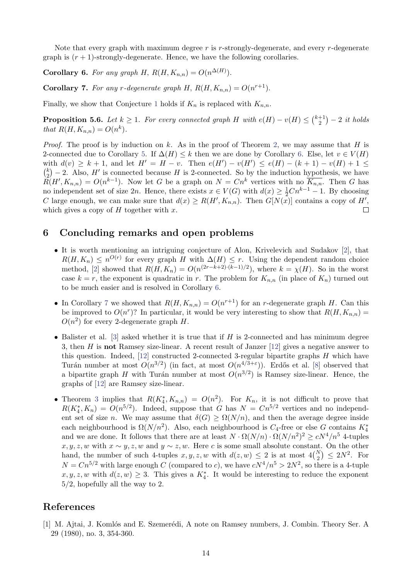Note that every graph with maximum degree  $r$  is  $r$ -strongly-degenerate, and every  $r$ -degenerate graph is  $(r + 1)$ -strongly-degenerate. Hence, we have the following corollaries.

<span id="page-13-2"></span>**Corollary 6.** For any graph H,  $R(H, K_{n,n}) = O(n^{\Delta(H)})$ .

<span id="page-13-3"></span>**Corollary 7.** For any r-degenerate graph H,  $R(H, K_{n,n}) = O(n^{r+1})$ .

Finally, we show that Conjecture [1](#page-0-1) holds if  $K_n$  is replaced with  $K_{n,n}$ .

<span id="page-13-1"></span>**Proposition 5.6.** Let  $k \geq 1$ . For every connected graph H with  $e(H) - v(H) \leq {k+1 \choose 2}$  $\binom{+1}{2}$  – 2 it holds that  $R(H, K_{n,n}) = O(n^k)$ .

*Proof.* The proof is by induction on k. As in the proof of Theorem [2,](#page-0-2) we may assume that H is 2-connected due to Corollary [5.](#page-11-0) If  $\Delta(H) \leq k$  then we are done by Corollary [6.](#page-13-2) Else, let  $v \in V(H)$ with  $d(v) \geq k+1$ , and let  $H' = H - v$ . Then  $e(H') - v(H') \leq e(H) - (k+1) - v(H) + 1 \leq$  $\binom{k}{2}$  $\binom{k}{2}$  – 2. Also, H' is connected because H is 2-connected. So by the induction hypothesis, we have  $\widetilde{R}(H', K_{n,n}) = O(n^{k-1}).$  Now let G be a graph on  $N = Cn^k$  vertices with no  $\overline{K_{n,n}}$ . Then G has no independent set of size 2n. Hence, there exists  $x \in V(G)$  with  $d(x) \geq \frac{1}{2}Cn^{k-1} - 1$ . By choosing C large enough, we can make sure that  $d(x) \ge R(H', K_{n,n})$ . Then  $G[N(x)]$  contains a copy of H', which gives a copy of  $H$  together with  $x$ . П

### 6 Concluding remarks and open problems

- It is worth mentioning an intriguing conjecture of Alon, Krivelevich and Sudakov [\[2\]](#page-14-12), that  $R(H, K_n) \leq n^{O(r)}$  for every graph H with  $\Delta(H) \leq r$ . Using the dependent random choice method, [\[2\]](#page-14-12) showed that  $R(H, K_n) = O(n^{(2r-k+2)\cdot(k-1)/2})$ , where  $k = \chi(H)$ . So in the worst case  $k = r$ , the exponent is quadratic in r. The problem for  $K_{n,n}$  (in place of  $K_n$ ) turned out to be much easier and is resolved in Corollary [6.](#page-13-2)
- In Corollary [7](#page-13-3) we showed that  $R(H, K_{n,n}) = O(n^{r+1})$  for an r-degenerate graph H. Can this be improved to  $O(n^r)$ ? In particular, it would be very interesting to show that  $R(H, K_{n,n}) =$  $O(n^2)$  for every 2-degenerate graph H.
- Balister et al.  $[3]$  asked whether it is true that if H is 2-connected and has minimum degree 3, then  $H$  is not Ramsey size-linear. A recent result of Janzer  $[12]$  gives a negative answer to this question. Indeed,  $[12]$  constructed 2-connected 3-regular bipartite graphs H which have Turán number at most  $O(n^{3/2})$  (in fact, at most  $O(n^{4/3+\epsilon})$ ). Erdős et al. [\[8\]](#page-14-6) observed that a bipartite graph H with Turán number at most  $O(n^{3/2})$  is Ramsey size-linear. Hence, the graphs of [\[12\]](#page-14-13) are Ramsey size-linear.
- Theorem [3](#page-1-1) implies that  $R(K_4^*, K_{n,n}) = O(n^2)$ . For  $K_n$ , it is not difficult to prove that  $R(K_4^*, K_n) = O(n^{5/2})$ . Indeed, suppose that G has  $N = Cn^{5/2}$  vertices and no independent set of size *n*. We may assume that  $\delta(G) > \Omega(N/n)$ , and then the average degree inside each neighbourhood is  $\Omega(N/n^2)$ . Also, each neighbourhood is  $C_4$ -free or else G contains  $K_4^*$ and we are done. It follows that there are at least  $N \cdot \Omega(N/n) \cdot \Omega(N/n^2)^2 \ge cN^4/n^5$  4-tuples  $x, y, z, w$  with  $x \sim y, z, w$  and  $y \sim z, w$ . Here c is some small absolute constant. On the other hand, the number of such 4-tuples  $x, y, z, w$  with  $d(z, w) \leq 2$  is at most  $4\binom{N}{2} \leq 2N^2$ . For  $N = Cn^{5/2}$  with large enough C (compared to c), we have  $cN^4/n^5 > 2N^2$ , so there is a 4-tuple  $x, y, z, w$  with  $d(z, w) \geq 3$ . This gives a  $K_4^*$ . It would be interesting to reduce the exponent 5/2, hopefully all the way to 2.

# References

<span id="page-13-0"></span>[1] M. Ajtai, J. Komlós and E. Szemerédi, A note on Ramsey numbers, J. Combin. Theory Ser. A 29 (1980), no. 3, 354-360.